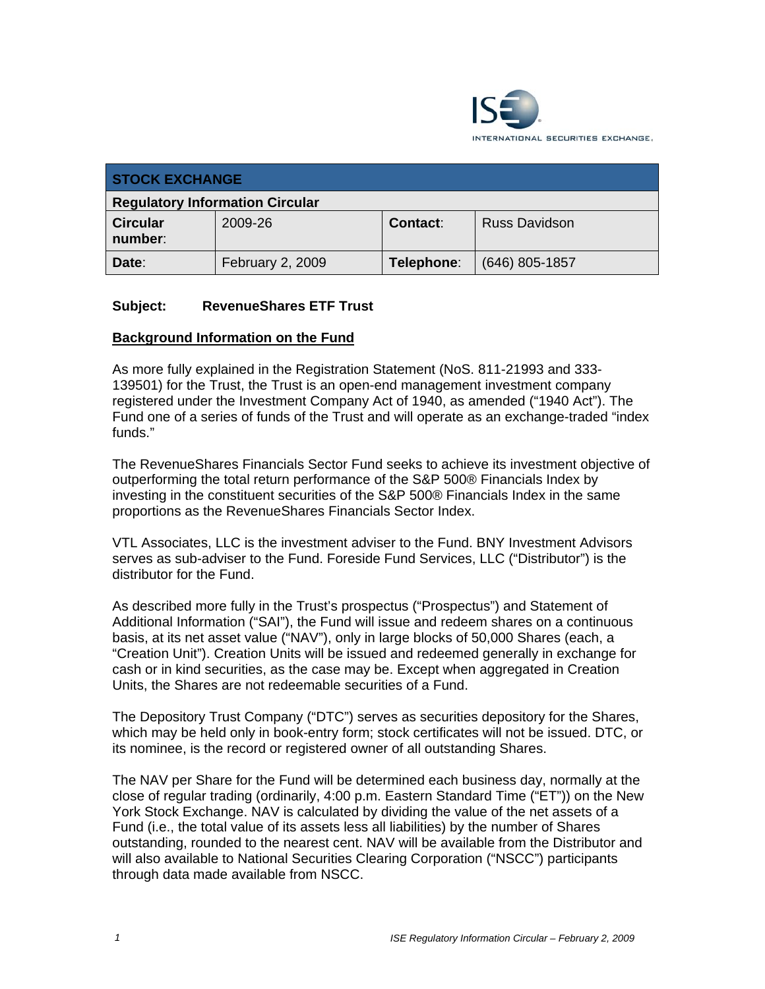

| <b>STOCK EXCHANGE</b>                  |                  |                 |                      |
|----------------------------------------|------------------|-----------------|----------------------|
| <b>Regulatory Information Circular</b> |                  |                 |                      |
| <b>Circular</b><br>number:             | 2009-26          | <b>Contact:</b> | <b>Russ Davidson</b> |
| Date:                                  | February 2, 2009 | Telephone:      | $(646)$ 805-1857     |

#### **Subject: RevenueShares ETF Trust**

#### **Background Information on the Fund**

As more fully explained in the Registration Statement (NoS. 811-21993 and 333- 139501) for the Trust, the Trust is an open-end management investment company registered under the Investment Company Act of 1940, as amended ("1940 Act"). The Fund one of a series of funds of the Trust and will operate as an exchange-traded "index funds."

The RevenueShares Financials Sector Fund seeks to achieve its investment objective of outperforming the total return performance of the S&P 500® Financials Index by investing in the constituent securities of the S&P 500® Financials Index in the same proportions as the RevenueShares Financials Sector Index.

VTL Associates, LLC is the investment adviser to the Fund. BNY Investment Advisors serves as sub-adviser to the Fund. Foreside Fund Services, LLC ("Distributor") is the distributor for the Fund.

As described more fully in the Trust's prospectus ("Prospectus") and Statement of Additional Information ("SAI"), the Fund will issue and redeem shares on a continuous basis, at its net asset value ("NAV"), only in large blocks of 50,000 Shares (each, a "Creation Unit"). Creation Units will be issued and redeemed generally in exchange for cash or in kind securities, as the case may be. Except when aggregated in Creation Units, the Shares are not redeemable securities of a Fund.

The Depository Trust Company ("DTC") serves as securities depository for the Shares, which may be held only in book-entry form; stock certificates will not be issued. DTC, or its nominee, is the record or registered owner of all outstanding Shares.

The NAV per Share for the Fund will be determined each business day, normally at the close of regular trading (ordinarily, 4:00 p.m. Eastern Standard Time ("ET")) on the New York Stock Exchange. NAV is calculated by dividing the value of the net assets of a Fund (i.e., the total value of its assets less all liabilities) by the number of Shares outstanding, rounded to the nearest cent. NAV will be available from the Distributor and will also available to National Securities Clearing Corporation ("NSCC") participants through data made available from NSCC.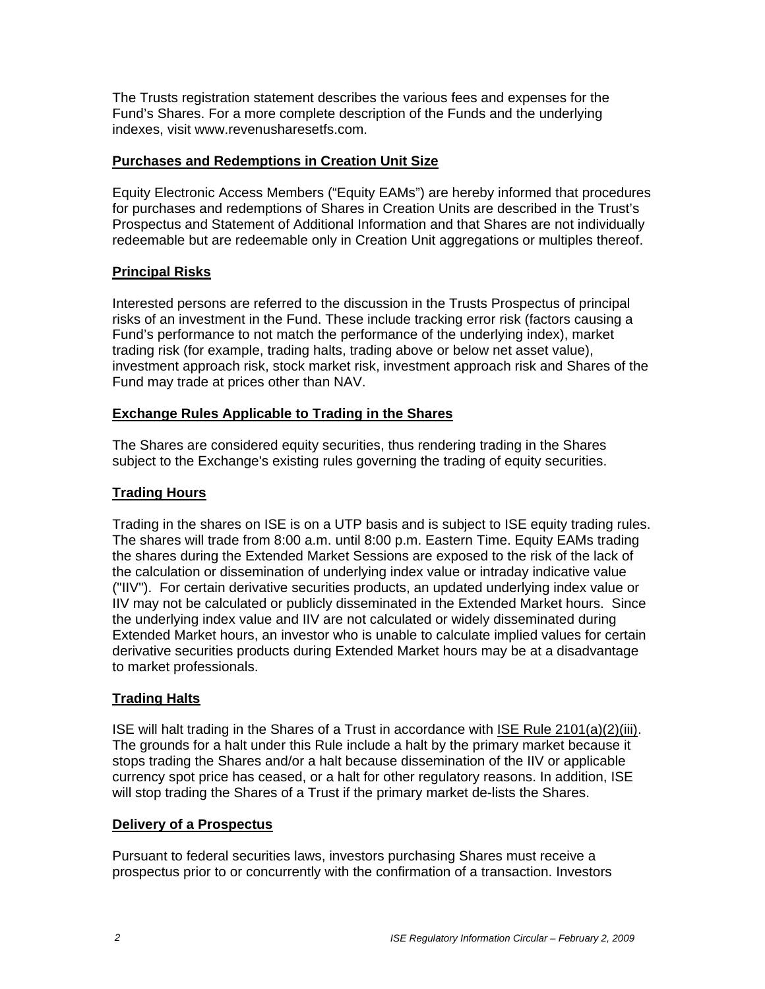The Trusts registration statement describes the various fees and expenses for the Fund's Shares. For a more complete description of the Funds and the underlying indexes, visit www.revenusharesetfs.com.

#### **Purchases and Redemptions in Creation Unit Size**

Equity Electronic Access Members ("Equity EAMs") are hereby informed that procedures for purchases and redemptions of Shares in Creation Units are described in the Trust's Prospectus and Statement of Additional Information and that Shares are not individually redeemable but are redeemable only in Creation Unit aggregations or multiples thereof.

### **Principal Risks**

Interested persons are referred to the discussion in the Trusts Prospectus of principal risks of an investment in the Fund. These include tracking error risk (factors causing a Fund's performance to not match the performance of the underlying index), market trading risk (for example, trading halts, trading above or below net asset value), investment approach risk, stock market risk, investment approach risk and Shares of the Fund may trade at prices other than NAV.

#### **Exchange Rules Applicable to Trading in the Shares**

The Shares are considered equity securities, thus rendering trading in the Shares subject to the Exchange's existing rules governing the trading of equity securities.

## **Trading Hours**

Trading in the shares on ISE is on a UTP basis and is subject to ISE equity trading rules. The shares will trade from 8:00 a.m. until 8:00 p.m. Eastern Time. Equity EAMs trading the shares during the Extended Market Sessions are exposed to the risk of the lack of the calculation or dissemination of underlying index value or intraday indicative value ("IIV"). For certain derivative securities products, an updated underlying index value or IIV may not be calculated or publicly disseminated in the Extended Market hours. Since the underlying index value and IIV are not calculated or widely disseminated during Extended Market hours, an investor who is unable to calculate implied values for certain derivative securities products during Extended Market hours may be at a disadvantage to market professionals.

# **Trading Halts**

ISE will halt trading in the Shares of a Trust in accordance with ISE Rule 2101(a)(2)(iii). The grounds for a halt under this Rule include a halt by the primary market because it stops trading the Shares and/or a halt because dissemination of the IIV or applicable currency spot price has ceased, or a halt for other regulatory reasons. In addition, ISE will stop trading the Shares of a Trust if the primary market de-lists the Shares.

#### **Delivery of a Prospectus**

Pursuant to federal securities laws, investors purchasing Shares must receive a prospectus prior to or concurrently with the confirmation of a transaction. Investors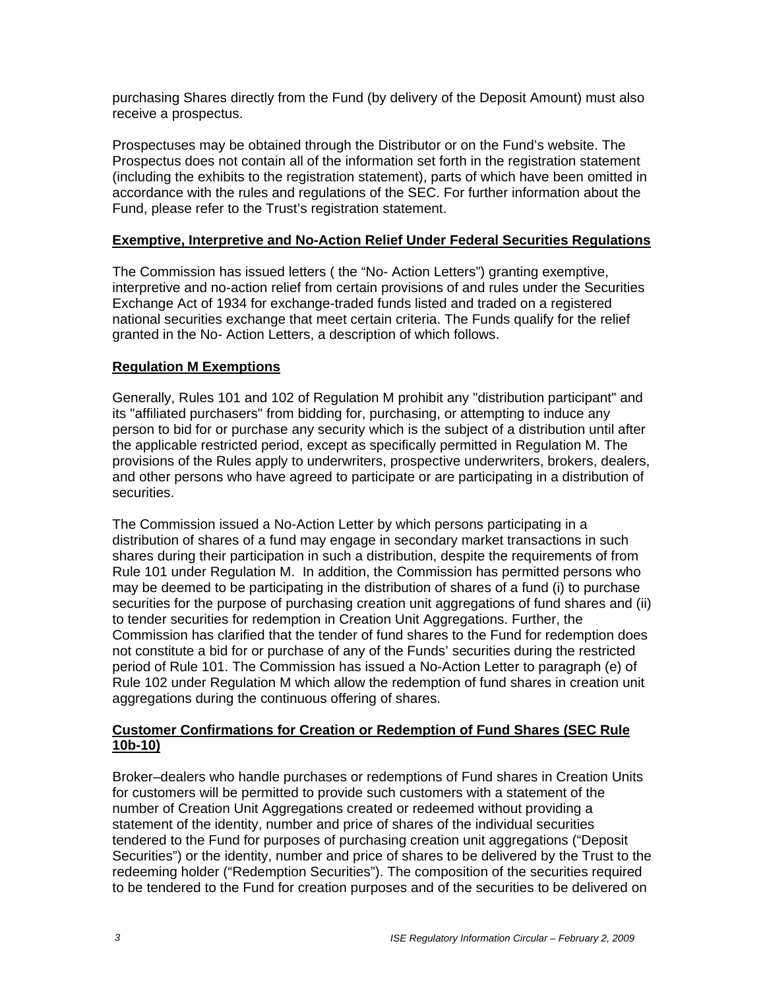purchasing Shares directly from the Fund (by delivery of the Deposit Amount) must also receive a prospectus.

Prospectuses may be obtained through the Distributor or on the Fund's website. The Prospectus does not contain all of the information set forth in the registration statement (including the exhibits to the registration statement), parts of which have been omitted in accordance with the rules and regulations of the SEC. For further information about the Fund, please refer to the Trust's registration statement.

### **Exemptive, Interpretive and No-Action Relief Under Federal Securities Regulations**

The Commission has issued letters ( the "No- Action Letters") granting exemptive, interpretive and no-action relief from certain provisions of and rules under the Securities Exchange Act of 1934 for exchange-traded funds listed and traded on a registered national securities exchange that meet certain criteria. The Funds qualify for the relief granted in the No- Action Letters, a description of which follows.

### **Regulation M Exemptions**

Generally, Rules 101 and 102 of Regulation M prohibit any "distribution participant" and its "affiliated purchasers" from bidding for, purchasing, or attempting to induce any person to bid for or purchase any security which is the subject of a distribution until after the applicable restricted period, except as specifically permitted in Regulation M. The provisions of the Rules apply to underwriters, prospective underwriters, brokers, dealers, and other persons who have agreed to participate or are participating in a distribution of securities.

The Commission issued a No-Action Letter by which persons participating in a distribution of shares of a fund may engage in secondary market transactions in such shares during their participation in such a distribution, despite the requirements of from Rule 101 under Regulation M. In addition, the Commission has permitted persons who may be deemed to be participating in the distribution of shares of a fund (i) to purchase securities for the purpose of purchasing creation unit aggregations of fund shares and (ii) to tender securities for redemption in Creation Unit Aggregations. Further, the Commission has clarified that the tender of fund shares to the Fund for redemption does not constitute a bid for or purchase of any of the Funds' securities during the restricted period of Rule 101. The Commission has issued a No-Action Letter to paragraph (e) of Rule 102 under Regulation M which allow the redemption of fund shares in creation unit aggregations during the continuous offering of shares.

### **Customer Confirmations for Creation or Redemption of Fund Shares (SEC Rule 10b-10)**

Broker–dealers who handle purchases or redemptions of Fund shares in Creation Units for customers will be permitted to provide such customers with a statement of the number of Creation Unit Aggregations created or redeemed without providing a statement of the identity, number and price of shares of the individual securities tendered to the Fund for purposes of purchasing creation unit aggregations ("Deposit Securities") or the identity, number and price of shares to be delivered by the Trust to the redeeming holder ("Redemption Securities"). The composition of the securities required to be tendered to the Fund for creation purposes and of the securities to be delivered on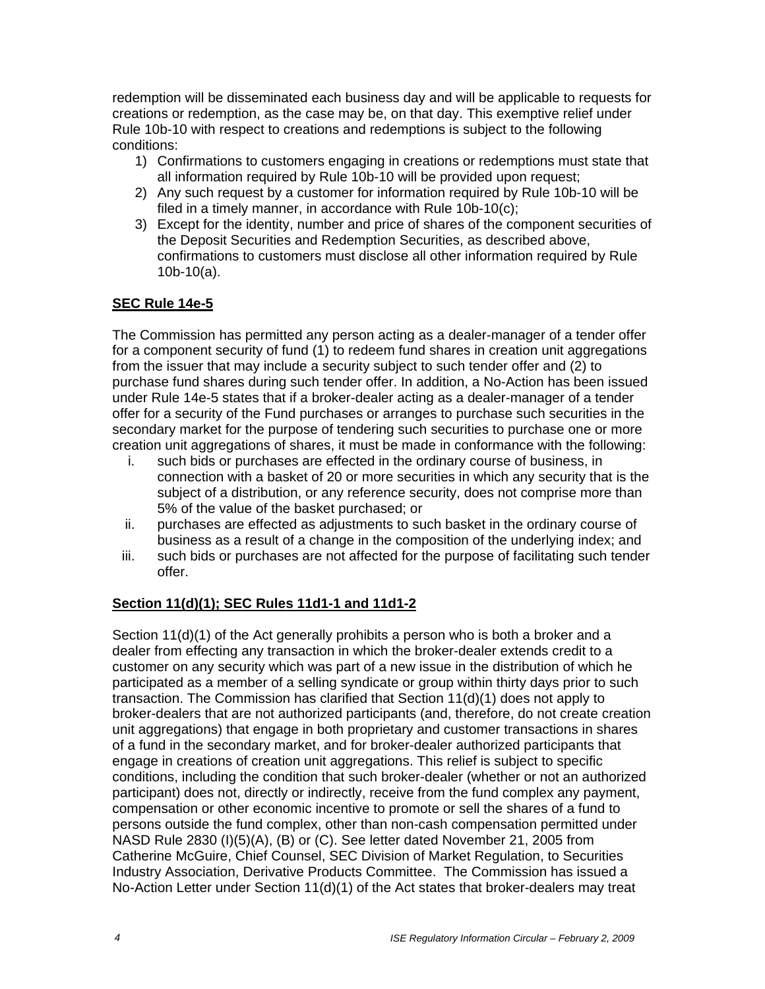redemption will be disseminated each business day and will be applicable to requests for creations or redemption, as the case may be, on that day. This exemptive relief under Rule 10b-10 with respect to creations and redemptions is subject to the following conditions:

- 1) Confirmations to customers engaging in creations or redemptions must state that all information required by Rule 10b-10 will be provided upon request;
- 2) Any such request by a customer for information required by Rule 10b-10 will be filed in a timely manner, in accordance with Rule 10b-10(c);
- 3) Except for the identity, number and price of shares of the component securities of the Deposit Securities and Redemption Securities, as described above, confirmations to customers must disclose all other information required by Rule 10b-10(a).

# **SEC Rule 14e-5**

The Commission has permitted any person acting as a dealer-manager of a tender offer for a component security of fund (1) to redeem fund shares in creation unit aggregations from the issuer that may include a security subject to such tender offer and (2) to purchase fund shares during such tender offer. In addition, a No-Action has been issued under Rule 14e-5 states that if a broker-dealer acting as a dealer-manager of a tender offer for a security of the Fund purchases or arranges to purchase such securities in the secondary market for the purpose of tendering such securities to purchase one or more creation unit aggregations of shares, it must be made in conformance with the following:

- i. such bids or purchases are effected in the ordinary course of business, in connection with a basket of 20 or more securities in which any security that is the subject of a distribution, or any reference security, does not comprise more than 5% of the value of the basket purchased; or
- ii. purchases are effected as adjustments to such basket in the ordinary course of business as a result of a change in the composition of the underlying index; and
- iii. such bids or purchases are not affected for the purpose of facilitating such tender offer.

#### **Section 11(d)(1); SEC Rules 11d1-1 and 11d1-2**

Section 11(d)(1) of the Act generally prohibits a person who is both a broker and a dealer from effecting any transaction in which the broker-dealer extends credit to a customer on any security which was part of a new issue in the distribution of which he participated as a member of a selling syndicate or group within thirty days prior to such transaction. The Commission has clarified that Section 11(d)(1) does not apply to broker-dealers that are not authorized participants (and, therefore, do not create creation unit aggregations) that engage in both proprietary and customer transactions in shares of a fund in the secondary market, and for broker-dealer authorized participants that engage in creations of creation unit aggregations. This relief is subject to specific conditions, including the condition that such broker-dealer (whether or not an authorized participant) does not, directly or indirectly, receive from the fund complex any payment, compensation or other economic incentive to promote or sell the shares of a fund to persons outside the fund complex, other than non-cash compensation permitted under NASD Rule 2830 (I)(5)(A), (B) or (C). See letter dated November 21, 2005 from Catherine McGuire, Chief Counsel, SEC Division of Market Regulation, to Securities Industry Association, Derivative Products Committee. The Commission has issued a No-Action Letter under Section 11(d)(1) of the Act states that broker-dealers may treat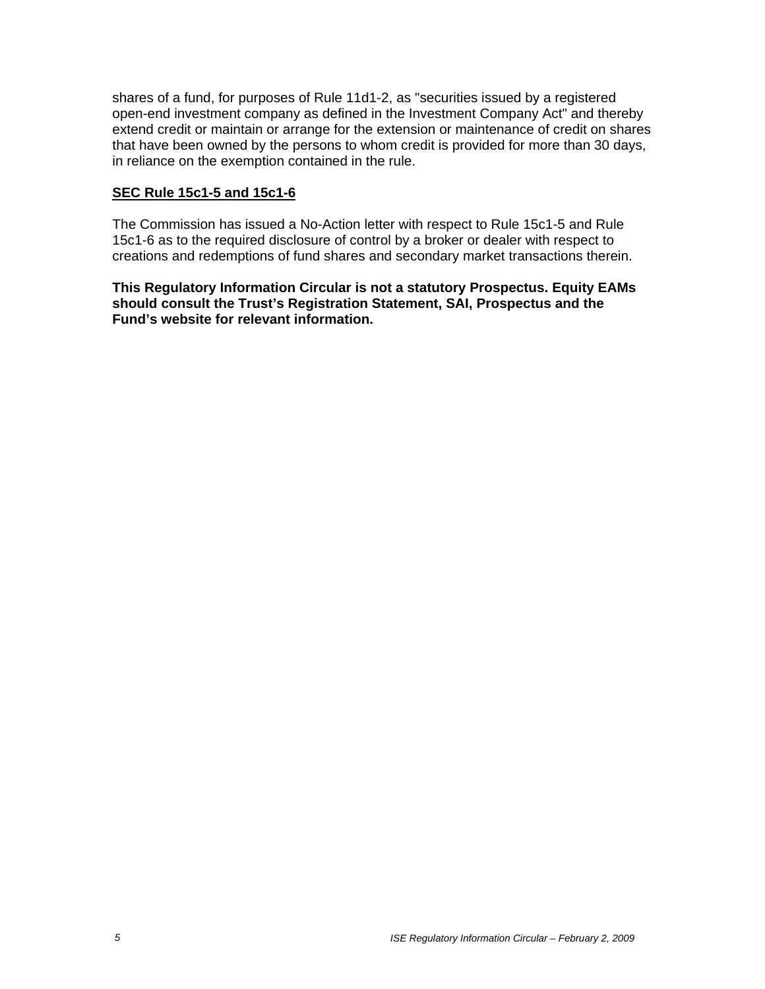shares of a fund, for purposes of Rule 11d1-2, as "securities issued by a registered open-end investment company as defined in the Investment Company Act" and thereby extend credit or maintain or arrange for the extension or maintenance of credit on shares that have been owned by the persons to whom credit is provided for more than 30 days, in reliance on the exemption contained in the rule.

#### **SEC Rule 15c1-5 and 15c1-6**

The Commission has issued a No-Action letter with respect to Rule 15c1-5 and Rule 15c1-6 as to the required disclosure of control by a broker or dealer with respect to creations and redemptions of fund shares and secondary market transactions therein.

**This Regulatory Information Circular is not a statutory Prospectus. Equity EAMs should consult the Trust's Registration Statement, SAI, Prospectus and the Fund's website for relevant information.**